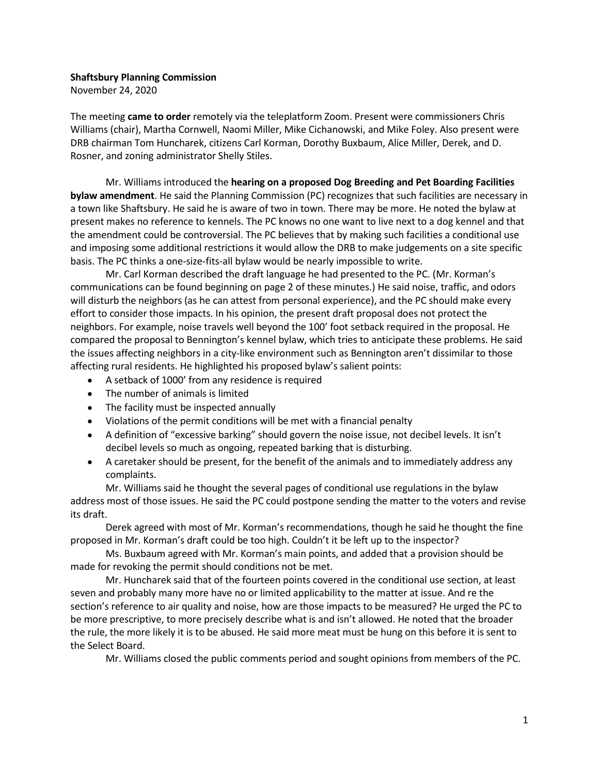## Shaftsbury Planning Commission

November 24, 2020

The meeting came to order remotely via the teleplatform Zoom. Present were commissioners Chris Williams (chair), Martha Cornwell, Naomi Miller, Mike Cichanowski, and Mike Foley. Also present were DRB chairman Tom Huncharek, citizens Carl Korman, Dorothy Buxbaum, Alice Miller, Derek, and D. Rosner, and zoning administrator Shelly Stiles.

Mr. Williams introduced the hearing on a proposed Dog Breeding and Pet Boarding Facilities bylaw amendment. He said the Planning Commission (PC) recognizes that such facilities are necessary in a town like Shaftsbury. He said he is aware of two in town. There may be more. He noted the bylaw at present makes no reference to kennels. The PC knows no one want to live next to a dog kennel and that the amendment could be controversial. The PC believes that by making such facilities a conditional use and imposing some additional restrictions it would allow the DRB to make judgements on a site specific basis. The PC thinks a one-size-fits-all bylaw would be nearly impossible to write.

Mr. Carl Korman described the draft language he had presented to the PC. (Mr. Korman's communications can be found beginning on page 2 of these minutes.) He said noise, traffic, and odors will disturb the neighbors (as he can attest from personal experience), and the PC should make every effort to consider those impacts. In his opinion, the present draft proposal does not protect the neighbors. For example, noise travels well beyond the 100' foot setback required in the proposal. He compared the proposal to Bennington's kennel bylaw, which tries to anticipate these problems. He said the issues affecting neighbors in a city-like environment such as Bennington aren't dissimilar to those affecting rural residents. He highlighted his proposed bylaw's salient points:

- A setback of 1000' from any residence is required
- The number of animals is limited
- The facility must be inspected annually
- Violations of the permit conditions will be met with a financial penalty
- A definition of "excessive barking" should govern the noise issue, not decibel levels. It isn't decibel levels so much as ongoing, repeated barking that is disturbing.
- A caretaker should be present, for the benefit of the animals and to immediately address any complaints.

Mr. Williams said he thought the several pages of conditional use regulations in the bylaw address most of those issues. He said the PC could postpone sending the matter to the voters and revise its draft.

Derek agreed with most of Mr. Korman's recommendations, though he said he thought the fine proposed in Mr. Korman's draft could be too high. Couldn't it be left up to the inspector?

Ms. Buxbaum agreed with Mr. Korman's main points, and added that a provision should be made for revoking the permit should conditions not be met.

Mr. Huncharek said that of the fourteen points covered in the conditional use section, at least seven and probably many more have no or limited applicability to the matter at issue. And re the section's reference to air quality and noise, how are those impacts to be measured? He urged the PC to be more prescriptive, to more precisely describe what is and isn't allowed. He noted that the broader the rule, the more likely it is to be abused. He said more meat must be hung on this before it is sent to the Select Board.

Mr. Williams closed the public comments period and sought opinions from members of the PC.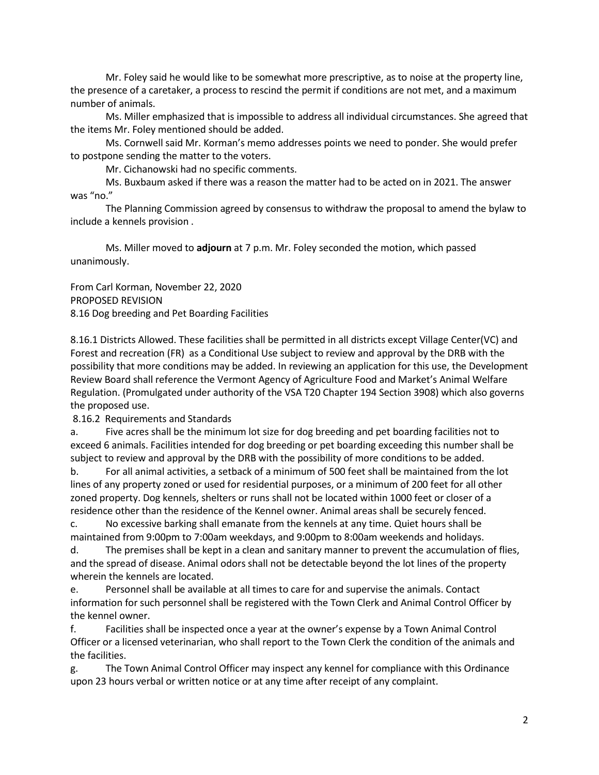Mr. Foley said he would like to be somewhat more prescriptive, as to noise at the property line, the presence of a caretaker, a process to rescind the permit if conditions are not met, and a maximum number of animals.

Ms. Miller emphasized that is impossible to address all individual circumstances. She agreed that the items Mr. Foley mentioned should be added.

Ms. Cornwell said Mr. Korman's memo addresses points we need to ponder. She would prefer to postpone sending the matter to the voters.

Mr. Cichanowski had no specific comments.

Ms. Buxbaum asked if there was a reason the matter had to be acted on in 2021. The answer was "no."

The Planning Commission agreed by consensus to withdraw the proposal to amend the bylaw to include a kennels provision .

Ms. Miller moved to adjourn at 7 p.m. Mr. Foley seconded the motion, which passed unanimously.

From Carl Korman, November 22, 2020 PROPOSED REVISION 8.16 Dog breeding and Pet Boarding Facilities

8.16.1 Districts Allowed. These facilities shall be permitted in all districts except Village Center(VC) and Forest and recreation (FR) as a Conditional Use subject to review and approval by the DRB with the possibility that more conditions may be added. In reviewing an application for this use, the Development Review Board shall reference the Vermont Agency of Agriculture Food and Market's Animal Welfare Regulation. (Promulgated under authority of the VSA T20 Chapter 194 Section 3908) which also governs the proposed use.

8.16.2 Requirements and Standards

a. Five acres shall be the minimum lot size for dog breeding and pet boarding facilities not to exceed 6 animals. Facilities intended for dog breeding or pet boarding exceeding this number shall be subject to review and approval by the DRB with the possibility of more conditions to be added.

b. For all animal activities, a setback of a minimum of 500 feet shall be maintained from the lot lines of any property zoned or used for residential purposes, or a minimum of 200 feet for all other zoned property. Dog kennels, shelters or runs shall not be located within 1000 feet or closer of a residence other than the residence of the Kennel owner. Animal areas shall be securely fenced.

c. No excessive barking shall emanate from the kennels at any time. Quiet hours shall be maintained from 9:00pm to 7:00am weekdays, and 9:00pm to 8:00am weekends and holidays.

d. The premises shall be kept in a clean and sanitary manner to prevent the accumulation of flies, and the spread of disease. Animal odors shall not be detectable beyond the lot lines of the property wherein the kennels are located.

e. Personnel shall be available at all times to care for and supervise the animals. Contact information for such personnel shall be registered with the Town Clerk and Animal Control Officer by the kennel owner.

f. Facilities shall be inspected once a year at the owner's expense by a Town Animal Control Officer or a licensed veterinarian, who shall report to the Town Clerk the condition of the animals and the facilities.

g. The Town Animal Control Officer may inspect any kennel for compliance with this Ordinance upon 23 hours verbal or written notice or at any time after receipt of any complaint.